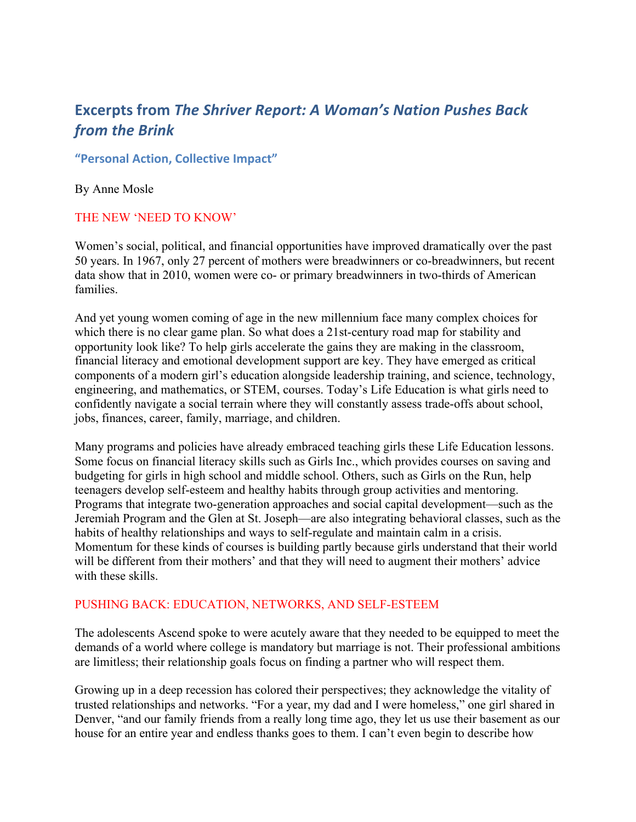# **Excerpts from The Shriver Report: A Woman's Nation Pushes Back** *from the Brink*

### **"Personal Action, Collective Impact"**

By Anne Mosle

### THE NEW 'NEED TO KNOW'

Women's social, political, and financial opportunities have improved dramatically over the past 50 years. In 1967, only 27 percent of mothers were breadwinners or co-breadwinners, but recent data show that in 2010, women were co- or primary breadwinners in two-thirds of American families.

And yet young women coming of age in the new millennium face many complex choices for which there is no clear game plan. So what does a 21st-century road map for stability and opportunity look like? To help girls accelerate the gains they are making in the classroom, financial literacy and emotional development support are key. They have emerged as critical components of a modern girl's education alongside leadership training, and science, technology, engineering, and mathematics, or STEM, courses. Today's Life Education is what girls need to confidently navigate a social terrain where they will constantly assess trade-offs about school, jobs, finances, career, family, marriage, and children.

Many programs and policies have already embraced teaching girls these Life Education lessons. Some focus on financial literacy skills such as Girls Inc., which provides courses on saving and budgeting for girls in high school and middle school. Others, such as Girls on the Run, help teenagers develop self-esteem and healthy habits through group activities and mentoring. Programs that integrate two-generation approaches and social capital development—such as the Jeremiah Program and the Glen at St. Joseph—are also integrating behavioral classes, such as the habits of healthy relationships and ways to self-regulate and maintain calm in a crisis. Momentum for these kinds of courses is building partly because girls understand that their world will be different from their mothers' and that they will need to augment their mothers' advice with these skills.

# PUSHING BACK: EDUCATION, NETWORKS, AND SELF-ESTEEM

The adolescents Ascend spoke to were acutely aware that they needed to be equipped to meet the demands of a world where college is mandatory but marriage is not. Their professional ambitions are limitless; their relationship goals focus on finding a partner who will respect them.

Growing up in a deep recession has colored their perspectives; they acknowledge the vitality of trusted relationships and networks. "For a year, my dad and I were homeless," one girl shared in Denver, "and our family friends from a really long time ago, they let us use their basement as our house for an entire year and endless thanks goes to them. I can't even begin to describe how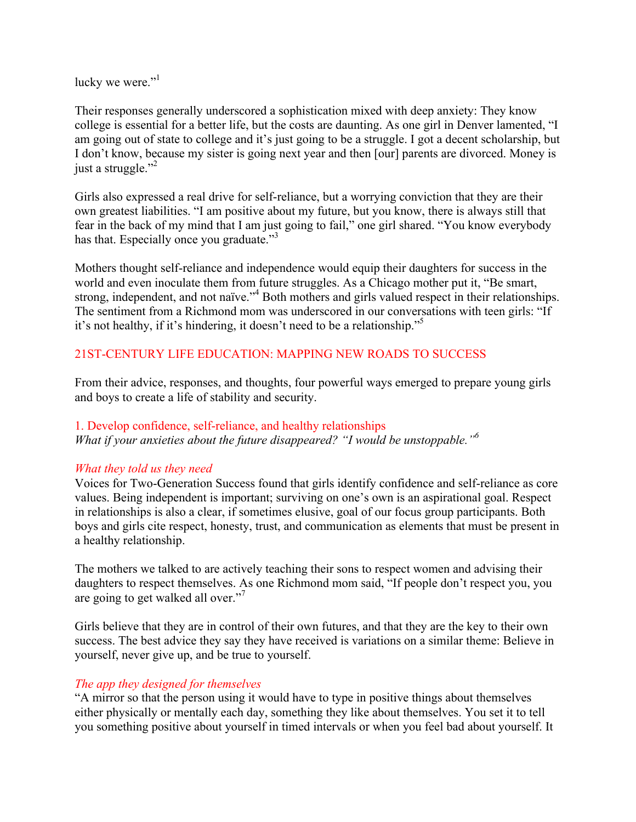lucky we were."<sup>1</sup>

Their responses generally underscored a sophistication mixed with deep anxiety: They know college is essential for a better life, but the costs are daunting. As one girl in Denver lamented, "I am going out of state to college and it's just going to be a struggle. I got a decent scholarship, but I don't know, because my sister is going next year and then [our] parents are divorced. Money is just a struggle."<sup>2</sup>

Girls also expressed a real drive for self-reliance, but a worrying conviction that they are their own greatest liabilities. "I am positive about my future, but you know, there is always still that fear in the back of my mind that I am just going to fail," one girl shared. "You know everybody has that. Especially once you graduate."<sup>3</sup>

Mothers thought self-reliance and independence would equip their daughters for success in the world and even inoculate them from future struggles. As a Chicago mother put it, "Be smart, strong, independent, and not naïve."<sup>4</sup> Both mothers and girls valued respect in their relationships. The sentiment from a Richmond mom was underscored in our conversations with teen girls: "If it's not healthy, if it's hindering, it doesn't need to be a relationship."5

# 21ST-CENTURY LIFE EDUCATION: MAPPING NEW ROADS TO SUCCESS

From their advice, responses, and thoughts, four powerful ways emerged to prepare young girls and boys to create a life of stability and security.

# 1. Develop confidence, self-reliance, and healthy relationships

*What if your anxieties about the future disappeared? "I would be unstoppable."6*

# *What they told us they need*

Voices for Two-Generation Success found that girls identify confidence and self-reliance as core values. Being independent is important; surviving on one's own is an aspirational goal. Respect in relationships is also a clear, if sometimes elusive, goal of our focus group participants. Both boys and girls cite respect, honesty, trust, and communication as elements that must be present in a healthy relationship.

The mothers we talked to are actively teaching their sons to respect women and advising their daughters to respect themselves. As one Richmond mom said, "If people don't respect you, you are going to get walked all over."<sup>7</sup>

Girls believe that they are in control of their own futures, and that they are the key to their own success. The best advice they say they have received is variations on a similar theme: Believe in yourself, never give up, and be true to yourself.

#### *The app they designed for themselves*

"A mirror so that the person using it would have to type in positive things about themselves either physically or mentally each day, something they like about themselves. You set it to tell you something positive about yourself in timed intervals or when you feel bad about yourself. It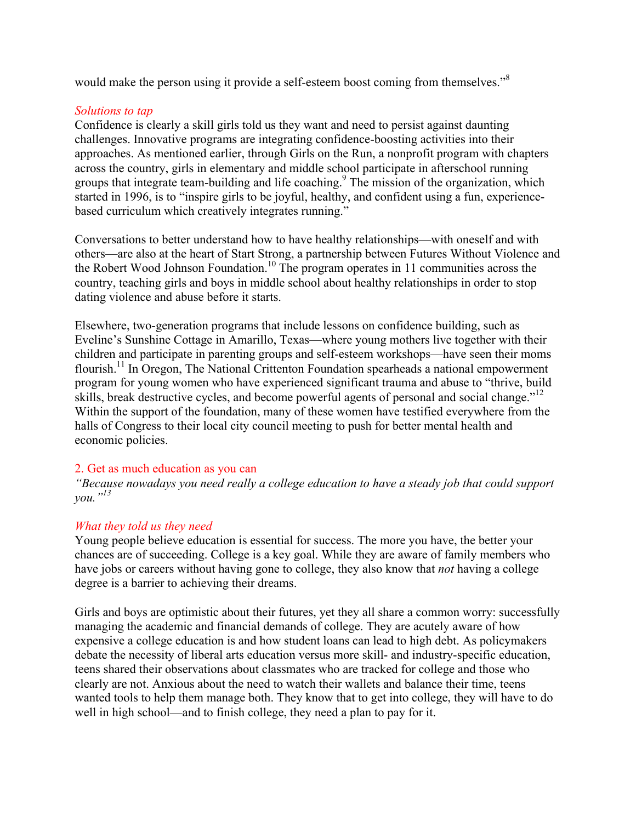would make the person using it provide a self-esteem boost coming from themselves."<sup>8</sup>

#### *Solutions to tap*

Confidence is clearly a skill girls told us they want and need to persist against daunting challenges. Innovative programs are integrating confidence-boosting activities into their approaches. As mentioned earlier, through Girls on the Run, a nonprofit program with chapters across the country, girls in elementary and middle school participate in afterschool running groups that integrate team-building and life coaching.<sup>9</sup> The mission of the organization, which started in 1996, is to "inspire girls to be joyful, healthy, and confident using a fun, experiencebased curriculum which creatively integrates running."

Conversations to better understand how to have healthy relationships—with oneself and with others—are also at the heart of Start Strong, a partnership between Futures Without Violence and the Robert Wood Johnson Foundation.<sup>10</sup> The program operates in 11 communities across the country, teaching girls and boys in middle school about healthy relationships in order to stop dating violence and abuse before it starts.

Elsewhere, two-generation programs that include lessons on confidence building, such as Eveline's Sunshine Cottage in Amarillo, Texas—where young mothers live together with their children and participate in parenting groups and self-esteem workshops—have seen their moms flourish.<sup>11</sup> In Oregon, The National Crittenton Foundation spearheads a national empowerment program for young women who have experienced significant trauma and abuse to "thrive, build skills, break destructive cycles, and become powerful agents of personal and social change."<sup>12</sup> Within the support of the foundation, many of these women have testified everywhere from the halls of Congress to their local city council meeting to push for better mental health and economic policies.

# 2. Get as much education as you can

*"Because nowadays you need really a college education to have a steady job that could support you."<sup>13</sup>*

# *What they told us they need*

Young people believe education is essential for success. The more you have, the better your chances are of succeeding. College is a key goal. While they are aware of family members who have jobs or careers without having gone to college, they also know that *not* having a college degree is a barrier to achieving their dreams.

Girls and boys are optimistic about their futures, yet they all share a common worry: successfully managing the academic and financial demands of college. They are acutely aware of how expensive a college education is and how student loans can lead to high debt. As policymakers debate the necessity of liberal arts education versus more skill- and industry-specific education, teens shared their observations about classmates who are tracked for college and those who clearly are not. Anxious about the need to watch their wallets and balance their time, teens wanted tools to help them manage both. They know that to get into college, they will have to do well in high school—and to finish college, they need a plan to pay for it.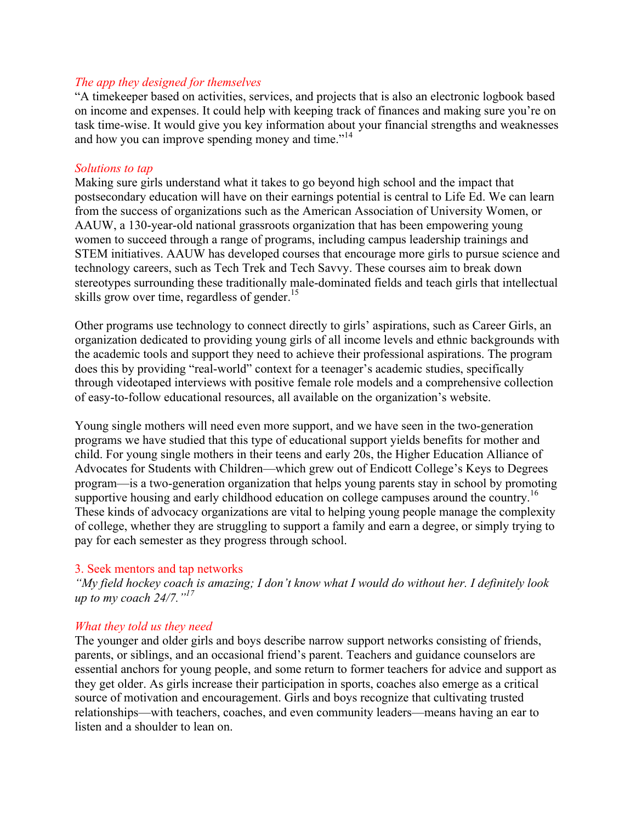#### *The app they designed for themselves*

"A timekeeper based on activities, services, and projects that is also an electronic logbook based on income and expenses. It could help with keeping track of finances and making sure you're on task time-wise. It would give you key information about your financial strengths and weaknesses and how you can improve spending money and time."<sup>14</sup>

#### *Solutions to tap*

Making sure girls understand what it takes to go beyond high school and the impact that postsecondary education will have on their earnings potential is central to Life Ed. We can learn from the success of organizations such as the American Association of University Women, or AAUW, a 130-year-old national grassroots organization that has been empowering young women to succeed through a range of programs, including campus leadership trainings and STEM initiatives. AAUW has developed courses that encourage more girls to pursue science and technology careers, such as Tech Trek and Tech Savvy. These courses aim to break down stereotypes surrounding these traditionally male-dominated fields and teach girls that intellectual skills grow over time, regardless of gender.<sup>15</sup>

Other programs use technology to connect directly to girls' aspirations, such as Career Girls, an organization dedicated to providing young girls of all income levels and ethnic backgrounds with the academic tools and support they need to achieve their professional aspirations. The program does this by providing "real-world" context for a teenager's academic studies, specifically through videotaped interviews with positive female role models and a comprehensive collection of easy-to-follow educational resources, all available on the organization's website.

Young single mothers will need even more support, and we have seen in the two-generation programs we have studied that this type of educational support yields benefits for mother and child. For young single mothers in their teens and early 20s, the Higher Education Alliance of Advocates for Students with Children—which grew out of Endicott College's Keys to Degrees program—is a two-generation organization that helps young parents stay in school by promoting supportive housing and early childhood education on college campuses around the country.<sup>16</sup> These kinds of advocacy organizations are vital to helping young people manage the complexity of college, whether they are struggling to support a family and earn a degree, or simply trying to pay for each semester as they progress through school.

#### 3. Seek mentors and tap networks

*"My field hockey coach is amazing; I don't know what I would do without her. I definitely look up to my coach 24/7."<sup>17</sup>*

#### *What they told us they need*

The younger and older girls and boys describe narrow support networks consisting of friends, parents, or siblings, and an occasional friend's parent. Teachers and guidance counselors are essential anchors for young people, and some return to former teachers for advice and support as they get older. As girls increase their participation in sports, coaches also emerge as a critical source of motivation and encouragement. Girls and boys recognize that cultivating trusted relationships—with teachers, coaches, and even community leaders—means having an ear to listen and a shoulder to lean on.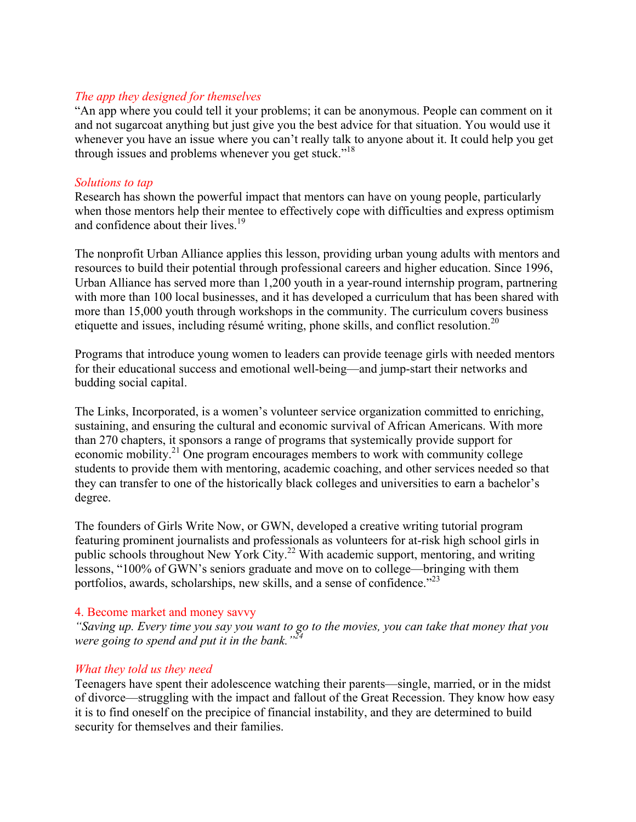#### *The app they designed for themselves*

"An app where you could tell it your problems; it can be anonymous. People can comment on it and not sugarcoat anything but just give you the best advice for that situation. You would use it whenever you have an issue where you can't really talk to anyone about it. It could help you get through issues and problems whenever you get stuck."<sup>18</sup>

#### *Solutions to tap*

Research has shown the powerful impact that mentors can have on young people, particularly when those mentors help their mentee to effectively cope with difficulties and express optimism and confidence about their lives.<sup>19</sup>

The nonprofit Urban Alliance applies this lesson, providing urban young adults with mentors and resources to build their potential through professional careers and higher education. Since 1996, Urban Alliance has served more than 1,200 youth in a year-round internship program, partnering with more than 100 local businesses, and it has developed a curriculum that has been shared with more than 15,000 youth through workshops in the community. The curriculum covers business etiquette and issues, including résumé writing, phone skills, and conflict resolution.<sup>20</sup>

Programs that introduce young women to leaders can provide teenage girls with needed mentors for their educational success and emotional well-being—and jump-start their networks and budding social capital.

The Links, Incorporated, is a women's volunteer service organization committed to enriching, sustaining, and ensuring the cultural and economic survival of African Americans. With more than 270 chapters, it sponsors a range of programs that systemically provide support for economic mobility.<sup>21</sup> One program encourages members to work with community college students to provide them with mentoring, academic coaching, and other services needed so that they can transfer to one of the historically black colleges and universities to earn a bachelor's degree.

The founders of Girls Write Now, or GWN, developed a creative writing tutorial program featuring prominent journalists and professionals as volunteers for at-risk high school girls in public schools throughout New York City.<sup>22</sup> With academic support, mentoring, and writing lessons, "100% of GWN's seniors graduate and move on to college—bringing with them portfolios, awards, scholarships, new skills, and a sense of confidence.<sup> $23$ </sup>

#### 4. Become market and money savvy

*"Saving up. Every time you say you want to go to the movies, you can take that money that you were going to spend and put it in the bank."24*

#### *What they told us they need*

Teenagers have spent their adolescence watching their parents—single, married, or in the midst of divorce—struggling with the impact and fallout of the Great Recession. They know how easy it is to find oneself on the precipice of financial instability, and they are determined to build security for themselves and their families.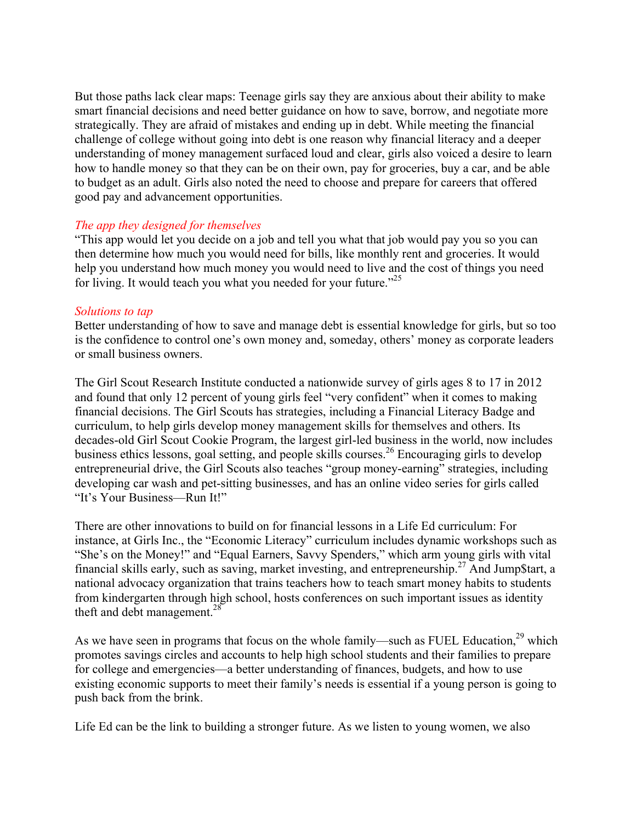But those paths lack clear maps: Teenage girls say they are anxious about their ability to make smart financial decisions and need better guidance on how to save, borrow, and negotiate more strategically. They are afraid of mistakes and ending up in debt. While meeting the financial challenge of college without going into debt is one reason why financial literacy and a deeper understanding of money management surfaced loud and clear, girls also voiced a desire to learn how to handle money so that they can be on their own, pay for groceries, buy a car, and be able to budget as an adult. Girls also noted the need to choose and prepare for careers that offered good pay and advancement opportunities.

#### *The app they designed for themselves*

"This app would let you decide on a job and tell you what that job would pay you so you can then determine how much you would need for bills, like monthly rent and groceries. It would help you understand how much money you would need to live and the cost of things you need for living. It would teach you what you needed for your future."<sup>25</sup>

#### *Solutions to tap*

Better understanding of how to save and manage debt is essential knowledge for girls, but so too is the confidence to control one's own money and, someday, others' money as corporate leaders or small business owners.

The Girl Scout Research Institute conducted a nationwide survey of girls ages 8 to 17 in 2012 and found that only 12 percent of young girls feel "very confident" when it comes to making financial decisions. The Girl Scouts has strategies, including a Financial Literacy Badge and curriculum, to help girls develop money management skills for themselves and others. Its decades-old Girl Scout Cookie Program, the largest girl-led business in the world, now includes business ethics lessons, goal setting, and people skills courses.<sup>26</sup> Encouraging girls to develop entrepreneurial drive, the Girl Scouts also teaches "group money-earning" strategies, including developing car wash and pet-sitting businesses, and has an online video series for girls called "It's Your Business—Run It!"

There are other innovations to build on for financial lessons in a Life Ed curriculum: For instance, at Girls Inc., the "Economic Literacy" curriculum includes dynamic workshops such as "She's on the Money!" and "Equal Earners, Savvy Spenders," which arm young girls with vital financial skills early, such as saving, market investing, and entrepreneurship.<sup>27</sup> And Jump\$tart, a national advocacy organization that trains teachers how to teach smart money habits to students from kindergarten through high school, hosts conferences on such important issues as identity theft and debt management. $28$ 

As we have seen in programs that focus on the whole family—such as FUEL Education, $^{29}$  which promotes savings circles and accounts to help high school students and their families to prepare for college and emergencies—a better understanding of finances, budgets, and how to use existing economic supports to meet their family's needs is essential if a young person is going to push back from the brink.

Life Ed can be the link to building a stronger future. As we listen to young women, we also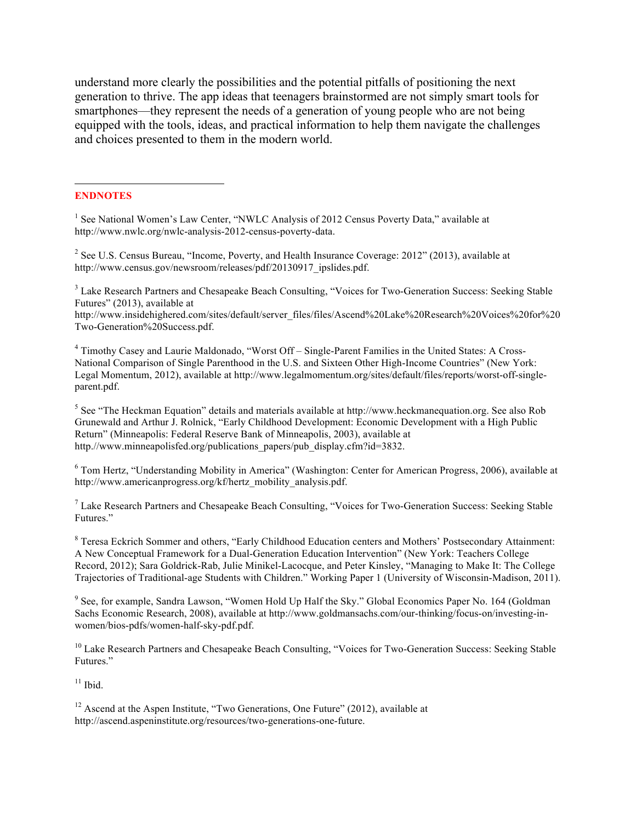understand more clearly the possibilities and the potential pitfalls of positioning the next generation to thrive. The app ideas that teenagers brainstormed are not simply smart tools for smartphones—they represent the needs of a generation of young people who are not being equipped with the tools, ideas, and practical information to help them navigate the challenges and choices presented to them in the modern world.

#### **ENDNOTES**

 

<sup>1</sup> See National Women's Law Center, "NWLC Analysis of 2012 Census Poverty Data," available at http://www.nwlc.org/nwlc-analysis-2012-census-poverty-data.

<sup>2</sup> See U.S. Census Bureau, "Income, Poverty, and Health Insurance Coverage: 2012" (2013), available at http://www.census.gov/newsroom/releases/pdf/20130917\_ipslides.pdf.

<sup>3</sup> Lake Research Partners and Chesapeake Beach Consulting, "Voices for Two-Generation Success: Seeking Stable Futures" (2013), available at

http://www.insidehighered.com/sites/default/server\_files/files/Ascend%20Lake%20Research%20Voices%20for%20 Two-Generation%20Success.pdf.

<sup>4</sup> Timothy Casey and Laurie Maldonado, "Worst Off – Single-Parent Families in the United States: A Cross-National Comparison of Single Parenthood in the U.S. and Sixteen Other High-Income Countries" (New York: Legal Momentum, 2012), available at http://www.legalmomentum.org/sites/default/files/reports/worst-off-singleparent.pdf.

<sup>5</sup> See "The Heckman Equation" details and materials available at http://www.heckmanequation.org. See also Rob Grunewald and Arthur J. Rolnick, "Early Childhood Development: Economic Development with a High Public Return" (Minneapolis: Federal Reserve Bank of Minneapolis, 2003), available at http.//www.minneapolisfed.org/publications\_papers/pub\_display.cfm?id=3832.

<sup>6</sup> Tom Hertz, "Understanding Mobility in America" (Washington: Center for American Progress, 2006), available at http://www.americanprogress.org/kf/hertz\_mobility\_analysis.pdf.

<sup>7</sup> Lake Research Partners and Chesapeake Beach Consulting, "Voices for Two-Generation Success: Seeking Stable Futures."

<sup>8</sup> Teresa Eckrich Sommer and others, "Early Childhood Education centers and Mothers' Postsecondary Attainment: A New Conceptual Framework for a Dual-Generation Education Intervention" (New York: Teachers College Record, 2012); Sara Goldrick-Rab, Julie Minikel-Lacocque, and Peter Kinsley, "Managing to Make It: The College Trajectories of Traditional-age Students with Children." Working Paper 1 (University of Wisconsin-Madison, 2011).

<sup>9</sup> See, for example, Sandra Lawson, "Women Hold Up Half the Sky." Global Economics Paper No. 164 (Goldman Sachs Economic Research, 2008), available at http://www.goldmansachs.com/our-thinking/focus-on/investing-inwomen/bios-pdfs/women-half-sky-pdf.pdf.

<sup>10</sup> Lake Research Partners and Chesapeake Beach Consulting, "Voices for Two-Generation Success: Seeking Stable Futures."

 $11$  Ibid.

<sup>12</sup> Ascend at the Aspen Institute, "Two Generations, One Future" (2012), available at http://ascend.aspeninstitute.org/resources/two-generations-one-future.